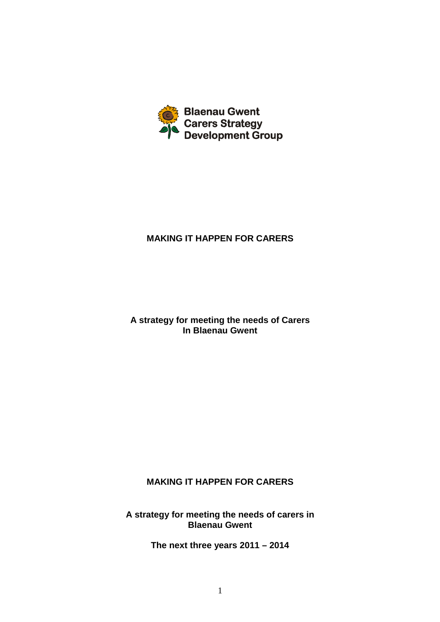

## **MAKING IT HAPPEN FOR CARERS**

**A strategy for meeting the needs of Carers In Blaenau Gwent** 

## **MAKING IT HAPPEN FOR CARERS**

**A strategy for meeting the needs of carers in Blaenau Gwent** 

**The next three years 2011 – 2014**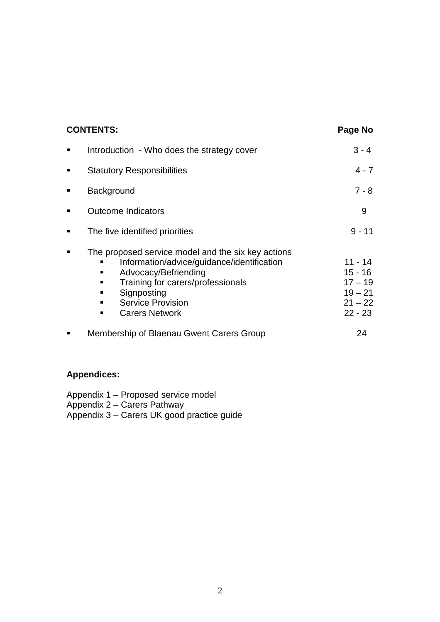| <b>CONTENTS:</b> |                                                                                                                                                                                                                                             | Page No                                                                    |
|------------------|---------------------------------------------------------------------------------------------------------------------------------------------------------------------------------------------------------------------------------------------|----------------------------------------------------------------------------|
| п                | Introduction - Who does the strategy cover                                                                                                                                                                                                  | $3 - 4$                                                                    |
| п                | <b>Statutory Responsibilities</b>                                                                                                                                                                                                           | $4 - 7$                                                                    |
| п                | Background                                                                                                                                                                                                                                  | $7 - 8$                                                                    |
|                  | <b>Outcome Indicators</b>                                                                                                                                                                                                                   | 9                                                                          |
| п                | The five identified priorities                                                                                                                                                                                                              | $9 - 11$                                                                   |
|                  | The proposed service model and the six key actions<br>Information/advice/guidance/identification<br>Advocacy/Befriending<br>п<br>Training for carers/professionals<br>Signposting<br>ш<br><b>Service Provision</b><br><b>Carers Network</b> | $11 - 14$<br>$15 - 16$<br>$17 - 19$<br>$19 - 21$<br>$21 - 22$<br>$22 - 23$ |
|                  | Membership of Blaenau Gwent Carers Group                                                                                                                                                                                                    | 24                                                                         |

## **Appendices:**

Appendix 1 – Proposed service model Appendix 2 – Carers Pathway Appendix 3 – Carers UK good practice guide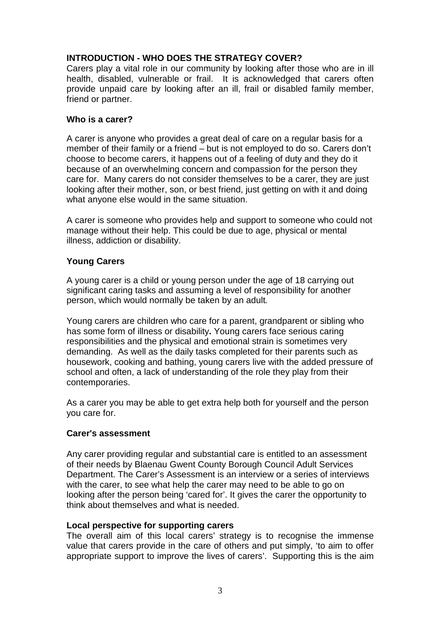## **INTRODUCTION - WHO DOES THE STRATEGY COVER?**

Carers play a vital role in our community by looking after those who are in ill health, disabled, vulnerable or frail. It is acknowledged that carers often provide unpaid care by looking after an ill, frail or disabled family member, friend or partner.

#### **Who is a carer?**

A carer is anyone who provides a great deal of care on a regular basis for a member of their family or a friend – but is not employed to do so. Carers don't choose to become carers, it happens out of a feeling of duty and they do it because of an overwhelming concern and compassion for the person they care for. Many carers do not consider themselves to be a carer, they are just looking after their mother, son, or best friend, just getting on with it and doing what anyone else would in the same situation.

A carer is someone who provides help and support to someone who could not manage without their help. This could be due to age, physical or mental illness, addiction or disability.

## **Young Carers**

A young carer is a child or young person under the age of 18 carrying out significant caring tasks and assuming a level of responsibility for another person, which would normally be taken by an adult.

Young carers are children who care for a parent, grandparent or sibling who has some form of illness or disability**.** Young carers face serious caring responsibilities and the physical and emotional strain is sometimes very demanding. As well as the daily tasks completed for their parents such as housework, cooking and bathing, young carers live with the added pressure of school and often, a lack of understanding of the role they play from their contemporaries.

As a carer you may be able to get extra help both for yourself and the person you care for.

## **Carer's assessment**

Any carer providing regular and substantial care is entitled to an assessment of their needs by Blaenau Gwent County Borough Council Adult Services Department. The Carer's Assessment is an interview or a series of interviews with the carer, to see what help the carer may need to be able to go on looking after the person being 'cared for'. It gives the carer the opportunity to think about themselves and what is needed.

#### **Local perspective for supporting carers**

The overall aim of this local carers' strategy is to recognise the immense value that carers provide in the care of others and put simply, 'to aim to offer appropriate support to improve the lives of carers'. Supporting this is the aim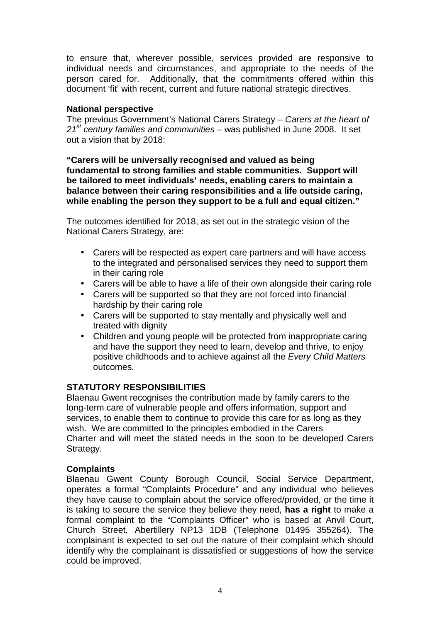to ensure that, wherever possible, services provided are responsive to individual needs and circumstances, and appropriate to the needs of the person cared for. Additionally, that the commitments offered within this document 'fit' with recent, current and future national strategic directives.

### **National perspective**

The previous Government's National Carers Strategy – Carers at the heart of  $21<sup>st</sup>$  century families and communities – was published in June 2008. It set out a vision that by 2018:

**"Carers will be universally recognised and valued as being fundamental to strong families and stable communities. Support will be tailored to meet individuals' needs, enabling carers to maintain a balance between their caring responsibilities and a life outside caring, while enabling the person they support to be a full and equal citizen."** 

The outcomes identified for 2018, as set out in the strategic vision of the National Carers Strategy, are:

- Carers will be respected as expert care partners and will have access to the integrated and personalised services they need to support them in their caring role
- Carers will be able to have a life of their own alongside their caring role
- Carers will be supported so that they are not forced into financial hardship by their caring role
- Carers will be supported to stay mentally and physically well and treated with dignity
- Children and young people will be protected from inappropriate caring and have the support they need to learn, develop and thrive, to enjoy positive childhoods and to achieve against all the Every Child Matters outcomes.

#### **STATUTORY RESPONSIBILITIES**

Blaenau Gwent recognises the contribution made by family carers to the long-term care of vulnerable people and offers information, support and services, to enable them to continue to provide this care for as long as they wish. We are committed to the principles embodied in the Carers Charter and will meet the stated needs in the soon to be developed Carers Strategy.

#### **Complaints**

Blaenau Gwent County Borough Council, Social Service Department, operates a formal "Complaints Procedure" and any individual who believes they have cause to complain about the service offered/provided, or the time it is taking to secure the service they believe they need, **has a right** to make a formal complaint to the "Complaints Officer" who is based at Anvil Court, Church Street, Abertillery NP13 1DB (Telephone 01495 355264). The complainant is expected to set out the nature of their complaint which should identify why the complainant is dissatisfied or suggestions of how the service could be improved.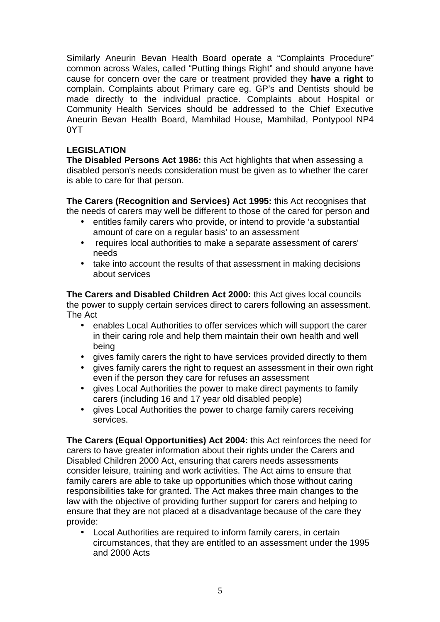Similarly Aneurin Bevan Health Board operate a "Complaints Procedure" common across Wales, called "Putting things Right" and should anyone have cause for concern over the care or treatment provided they **have a right** to complain. Complaints about Primary care eg. GP's and Dentists should be made directly to the individual practice. Complaints about Hospital or Community Health Services should be addressed to the Chief Executive Aneurin Bevan Health Board, Mamhilad House, Mamhilad, Pontypool NP4 0YT

## **LEGISLATION**

**The Disabled Persons Act 1986:** this Act highlights that when assessing a disabled person's needs consideration must be given as to whether the carer is able to care for that person.

**The Carers (Recognition and Services) Act 1995:** this Act recognises that the needs of carers may well be different to those of the cared for person and

- entitles family carers who provide, or intend to provide 'a substantial amount of care on a regular basis' to an assessment
- requires local authorities to make a separate assessment of carers' needs
- take into account the results of that assessment in making decisions about services

**The Carers and Disabled Children Act 2000:** this Act gives local councils the power to supply certain services direct to carers following an assessment. The Act

- enables Local Authorities to offer services which will support the carer in their caring role and help them maintain their own health and well being
- gives family carers the right to have services provided directly to them
- gives family carers the right to request an assessment in their own right even if the person they care for refuses an assessment
- gives Local Authorities the power to make direct payments to family carers (including 16 and 17 year old disabled people)
- gives Local Authorities the power to charge family carers receiving services.

**The Carers (Equal Opportunities) Act 2004:** this Act reinforces the need for carers to have greater information about their rights under the Carers and Disabled Children 2000 Act, ensuring that carers needs assessments consider leisure, training and work activities. The Act aims to ensure that family carers are able to take up opportunities which those without caring responsibilities take for granted. The Act makes three main changes to the law with the objective of providing further support for carers and helping to ensure that they are not placed at a disadvantage because of the care they provide:

• Local Authorities are required to inform family carers, in certain circumstances, that they are entitled to an assessment under the 1995 and 2000 Acts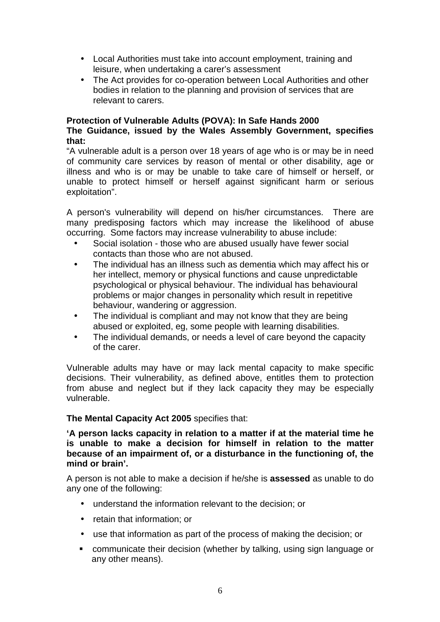- Local Authorities must take into account employment, training and leisure, when undertaking a carer's assessment
- The Act provides for co-operation between Local Authorities and other bodies in relation to the planning and provision of services that are relevant to carers.

#### **Protection of Vulnerable Adults (POVA): In Safe Hands 2000 The Guidance, issued by the Wales Assembly Government, specifies that:**

"A vulnerable adult is a person over 18 years of age who is or may be in need of community care services by reason of mental or other disability, age or illness and who is or may be unable to take care of himself or herself, or unable to protect himself or herself against significant harm or serious exploitation".

A person's vulnerability will depend on his/her circumstances. There are many predisposing factors which may increase the likelihood of abuse occurring. Some factors may increase vulnerability to abuse include:

- Social isolation those who are abused usually have fewer social contacts than those who are not abused.
- The individual has an illness such as dementia which may affect his or her intellect, memory or physical functions and cause unpredictable psychological or physical behaviour. The individual has behavioural problems or major changes in personality which result in repetitive behaviour, wandering or aggression.
- The individual is compliant and may not know that they are being abused or exploited, eg, some people with learning disabilities.
- The individual demands, or needs a level of care beyond the capacity of the carer.

Vulnerable adults may have or may lack mental capacity to make specific decisions. Their vulnerability, as defined above, entitles them to protection from abuse and neglect but if they lack capacity they may be especially vulnerable.

## **The Mental Capacity Act 2005** specifies that:

**'A person lacks capacity in relation to a matter if at the material time he is unable to make a decision for himself in relation to the matter because of an impairment of, or a disturbance in the functioning of, the mind or brain'.** 

A person is not able to make a decision if he/she is **assessed** as unable to do any one of the following:

- understand the information relevant to the decision; or
- retain that information; or
- use that information as part of the process of making the decision; or
- communicate their decision (whether by talking, using sign language or any other means).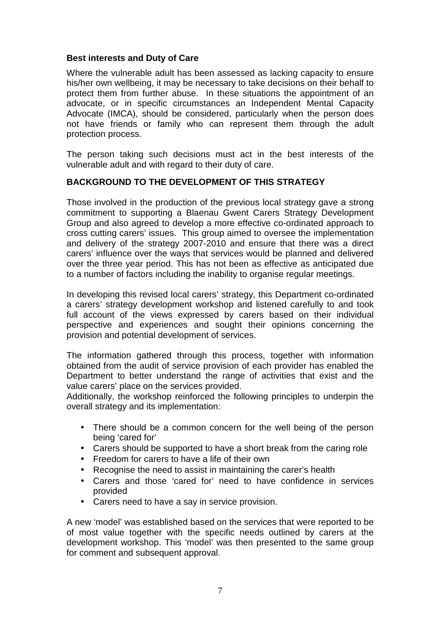#### **Best interests and Duty of Care**

Where the vulnerable adult has been assessed as lacking capacity to ensure his/her own wellbeing, it may be necessary to take decisions on their behalf to protect them from further abuse. In these situations the appointment of an advocate, or in specific circumstances an Independent Mental Capacity Advocate (IMCA), should be considered, particularly when the person does not have friends or family who can represent them through the adult protection process.

The person taking such decisions must act in the best interests of the vulnerable adult and with regard to their duty of care.

## **BACKGROUND TO THE DEVELOPMENT OF THIS STRATEGY**

Those involved in the production of the previous local strategy gave a strong commitment to supporting a Blaenau Gwent Carers Strategy Development Group and also agreed to develop a more effective co-ordinated approach to cross cutting carers' issues. This group aimed to oversee the implementation and delivery of the strategy 2007-2010 and ensure that there was a direct carers' influence over the ways that services would be planned and delivered over the three year period. This has not been as effective as anticipated due to a number of factors including the inability to organise regular meetings.

In developing this revised local carers' strategy, this Department co-ordinated a carers' strategy development workshop and listened carefully to and took full account of the views expressed by carers based on their individual perspective and experiences and sought their opinions concerning the provision and potential development of services.

The information gathered through this process, together with information obtained from the audit of service provision of each provider has enabled the Department to better understand the range of activities that exist and the value carers' place on the services provided.

Additionally, the workshop reinforced the following principles to underpin the overall strategy and its implementation:

- There should be a common concern for the well being of the person being 'cared for'
- Carers should be supported to have a short break from the caring role
- Freedom for carers to have a life of their own
- Recognise the need to assist in maintaining the carer's health
- Carers and those 'cared for' need to have confidence in services provided
- Carers need to have a say in service provision.

A new 'model' was established based on the services that were reported to be of most value together with the specific needs outlined by carers at the development workshop. This 'model' was then presented to the same group for comment and subsequent approval.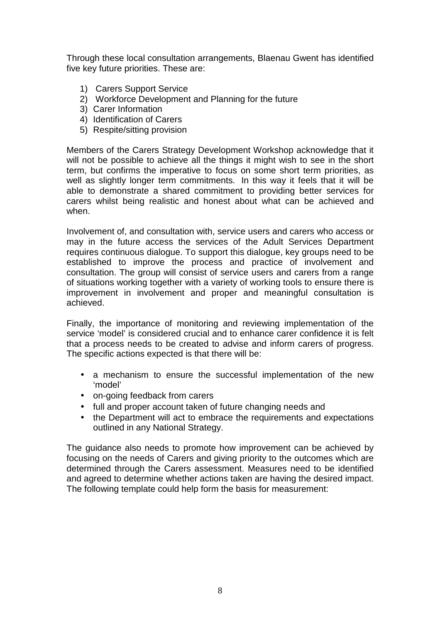Through these local consultation arrangements, Blaenau Gwent has identified five key future priorities. These are:

- 1) Carers Support Service
- 2) Workforce Development and Planning for the future
- 3) Carer Information
- 4) Identification of Carers
- 5) Respite/sitting provision

Members of the Carers Strategy Development Workshop acknowledge that it will not be possible to achieve all the things it might wish to see in the short term, but confirms the imperative to focus on some short term priorities, as well as slightly longer term commitments. In this way it feels that it will be able to demonstrate a shared commitment to providing better services for carers whilst being realistic and honest about what can be achieved and when.

Involvement of, and consultation with, service users and carers who access or may in the future access the services of the Adult Services Department requires continuous dialogue. To support this dialogue, key groups need to be established to improve the process and practice of involvement and consultation. The group will consist of service users and carers from a range of situations working together with a variety of working tools to ensure there is improvement in involvement and proper and meaningful consultation is achieved.

Finally, the importance of monitoring and reviewing implementation of the service 'model' is considered crucial and to enhance carer confidence it is felt that a process needs to be created to advise and inform carers of progress. The specific actions expected is that there will be:

- a mechanism to ensure the successful implementation of the new 'model'
- on-going feedback from carers
- full and proper account taken of future changing needs and
- the Department will act to embrace the requirements and expectations outlined in any National Strategy.

The guidance also needs to promote how improvement can be achieved by focusing on the needs of Carers and giving priority to the outcomes which are determined through the Carers assessment. Measures need to be identified and agreed to determine whether actions taken are having the desired impact. The following template could help form the basis for measurement: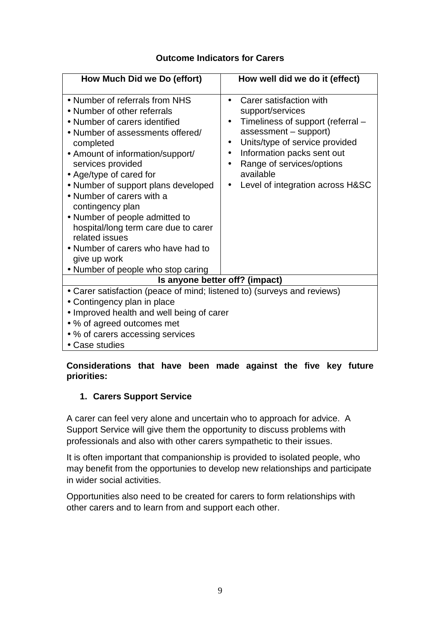## **Outcome Indicators for Carers**

| How Much Did we Do (effort)                                                                                                                                                                                                                                                                                                                                                                                                                                                                                         | How well did we do it (effect)                                                                                                                                                                                                                                                                                           |  |  |
|---------------------------------------------------------------------------------------------------------------------------------------------------------------------------------------------------------------------------------------------------------------------------------------------------------------------------------------------------------------------------------------------------------------------------------------------------------------------------------------------------------------------|--------------------------------------------------------------------------------------------------------------------------------------------------------------------------------------------------------------------------------------------------------------------------------------------------------------------------|--|--|
| • Number of referrals from NHS<br>• Number of other referrals<br>• Number of carers identified<br>• Number of assessments offered/<br>completed<br>• Amount of information/support/<br>services provided<br>• Age/type of cared for<br>• Number of support plans developed<br>• Number of carers with a<br>contingency plan<br>• Number of people admitted to<br>hospital/long term care due to carer<br>related issues<br>• Number of carers who have had to<br>give up work<br>• Number of people who stop caring | Carer satisfaction with<br>support/services<br>Timeliness of support (referral -<br>$\bullet$<br>assessment - support)<br>Units/type of service provided<br>$\bullet$<br>Information packs sent out<br>$\bullet$<br>Range of services/options<br>$\bullet$<br>available<br>Level of integration across H&SC<br>$\bullet$ |  |  |
| Is anyone better off? (impact)                                                                                                                                                                                                                                                                                                                                                                                                                                                                                      |                                                                                                                                                                                                                                                                                                                          |  |  |
| • Carer satisfaction (peace of mind; listened to) (surveys and reviews)<br>• Contingency plan in place<br>• Improved health and well being of carer<br>• % of agreed outcomes met<br>• % of carers accessing services<br>• Case studies                                                                                                                                                                                                                                                                             |                                                                                                                                                                                                                                                                                                                          |  |  |

## **Considerations that have been made against the five key future priorities:**

## **1. Carers Support Service**

A carer can feel very alone and uncertain who to approach for advice. A Support Service will give them the opportunity to discuss problems with professionals and also with other carers sympathetic to their issues.

It is often important that companionship is provided to isolated people, who may benefit from the opportunies to develop new relationships and participate in wider social activities.

Opportunities also need to be created for carers to form relationships with other carers and to learn from and support each other.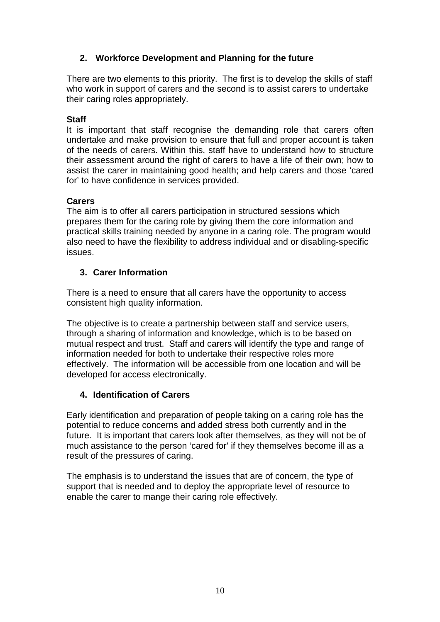## **2. Workforce Development and Planning for the future**

There are two elements to this priority. The first is to develop the skills of staff who work in support of carers and the second is to assist carers to undertake their caring roles appropriately.

## **Staff**

It is important that staff recognise the demanding role that carers often undertake and make provision to ensure that full and proper account is taken of the needs of carers. Within this, staff have to understand how to structure their assessment around the right of carers to have a life of their own; how to assist the carer in maintaining good health; and help carers and those 'cared for' to have confidence in services provided.

## **Carers**

The aim is to offer all carers participation in structured sessions which prepares them for the caring role by giving them the core information and practical skills training needed by anyone in a caring role. The program would also need to have the flexibility to address individual and or disabling-specific issues.

## **3. Carer Information**

There is a need to ensure that all carers have the opportunity to access consistent high quality information.

The objective is to create a partnership between staff and service users, through a sharing of information and knowledge, which is to be based on mutual respect and trust. Staff and carers will identify the type and range of information needed for both to undertake their respective roles more effectively. The information will be accessible from one location and will be developed for access electronically.

## **4. Identification of Carers**

Early identification and preparation of people taking on a caring role has the potential to reduce concerns and added stress both currently and in the future. It is important that carers look after themselves, as they will not be of much assistance to the person 'cared for' if they themselves become ill as a result of the pressures of caring.

The emphasis is to understand the issues that are of concern, the type of support that is needed and to deploy the appropriate level of resource to enable the carer to mange their caring role effectively.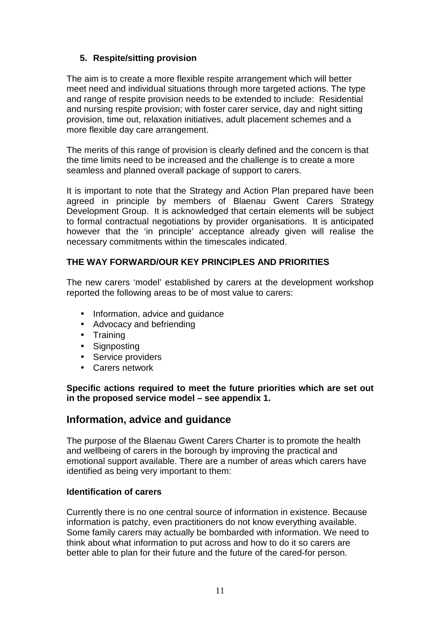## **5. Respite/sitting provision**

The aim is to create a more flexible respite arrangement which will better meet need and individual situations through more targeted actions. The type and range of respite provision needs to be extended to include: Residential and nursing respite provision; with foster carer service, day and night sitting provision, time out, relaxation initiatives, adult placement schemes and a more flexible day care arrangement.

The merits of this range of provision is clearly defined and the concern is that the time limits need to be increased and the challenge is to create a more seamless and planned overall package of support to carers.

It is important to note that the Strategy and Action Plan prepared have been agreed in principle by members of Blaenau Gwent Carers Strategy Development Group. It is acknowledged that certain elements will be subject to formal contractual negotiations by provider organisations. It is anticipated however that the 'in principle' acceptance already given will realise the necessary commitments within the timescales indicated.

## **THE WAY FORWARD/OUR KEY PRINCIPLES AND PRIORITIES**

The new carers 'model' established by carers at the development workshop reported the following areas to be of most value to carers:

- Information, advice and quidance
- Advocacy and befriending
- Training
- Signposting
- Service providers
- Carers network

**Specific actions required to meet the future priorities which are set out in the proposed service model – see appendix 1.** 

## **Information, advice and guidance**

The purpose of the Blaenau Gwent Carers Charter is to promote the health and wellbeing of carers in the borough by improving the practical and emotional support available. There are a number of areas which carers have identified as being very important to them:

#### **Identification of carers**

Currently there is no one central source of information in existence. Because information is patchy, even practitioners do not know everything available. Some family carers may actually be bombarded with information. We need to think about what information to put across and how to do it so carers are better able to plan for their future and the future of the cared-for person.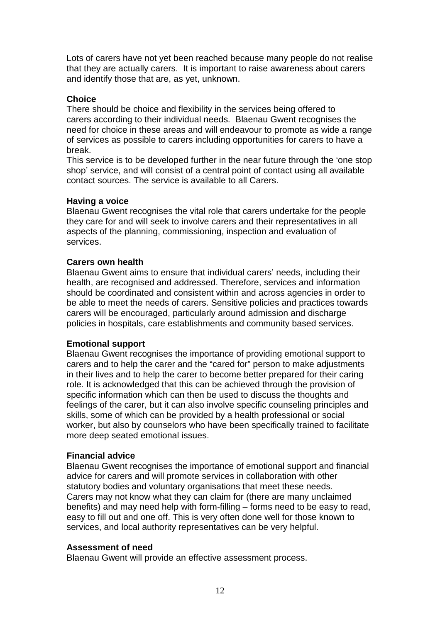Lots of carers have not yet been reached because many people do not realise that they are actually carers. It is important to raise awareness about carers and identify those that are, as yet, unknown.

### **Choice**

There should be choice and flexibility in the services being offered to carers according to their individual needs. Blaenau Gwent recognises the need for choice in these areas and will endeavour to promote as wide a range of services as possible to carers including opportunities for carers to have a break.

This service is to be developed further in the near future through the 'one stop shop' service, and will consist of a central point of contact using all available contact sources. The service is available to all Carers.

#### **Having a voice**

Blaenau Gwent recognises the vital role that carers undertake for the people they care for and will seek to involve carers and their representatives in all aspects of the planning, commissioning, inspection and evaluation of services.

## **Carers own health**

Blaenau Gwent aims to ensure that individual carers' needs, including their health, are recognised and addressed. Therefore, services and information should be coordinated and consistent within and across agencies in order to be able to meet the needs of carers. Sensitive policies and practices towards carers will be encouraged, particularly around admission and discharge policies in hospitals, care establishments and community based services.

#### **Emotional support**

Blaenau Gwent recognises the importance of providing emotional support to carers and to help the carer and the "cared for" person to make adjustments in their lives and to help the carer to become better prepared for their caring role. It is acknowledged that this can be achieved through the provision of specific information which can then be used to discuss the thoughts and feelings of the carer, but it can also involve specific counseling principles and skills, some of which can be provided by a health professional or social worker, but also by counselors who have been specifically trained to facilitate more deep seated emotional issues.

#### **Financial advice**

Blaenau Gwent recognises the importance of emotional support and financial advice for carers and will promote services in collaboration with other statutory bodies and voluntary organisations that meet these needs. Carers may not know what they can claim for (there are many unclaimed benefits) and may need help with form-filling – forms need to be easy to read, easy to fill out and one off. This is very often done well for those known to services, and local authority representatives can be very helpful.

#### **Assessment of need**

Blaenau Gwent will provide an effective assessment process.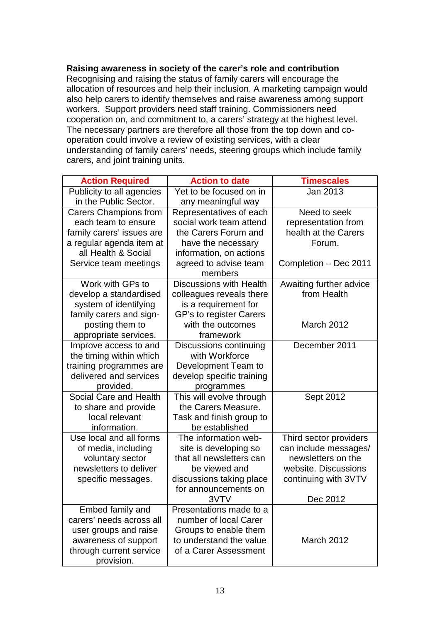#### **Raising awareness in society of the carer's role and contribution**

Recognising and raising the status of family carers will encourage the allocation of resources and help their inclusion. A marketing campaign would also help carers to identify themselves and raise awareness among support workers. Support providers need staff training. Commissioners need cooperation on, and commitment to, a carers' strategy at the highest level. The necessary partners are therefore all those from the top down and cooperation could involve a review of existing services, with a clear understanding of family carers' needs, steering groups which include family carers, and joint training units.

| Publicity to all agencies<br>Yet to be focused on in<br>Jan 2013<br>in the Public Sector.<br>any meaningful way<br><b>Carers Champions from</b><br>Representatives of each<br>Need to seek<br>social work team attend<br>each team to ensure<br>representation from<br>health at the Carers<br>family carers' issues are<br>the Carers Forum and<br>a regular agenda item at<br>Forum.<br>have the necessary<br>all Health & Social<br>information, on actions<br>agreed to advise team<br>Service team meetings<br>Completion - Dec 2011<br>members<br>Work with GPs to<br>Discussions with Health<br>Awaiting further advice<br>from Health<br>develop a standardised<br>colleagues reveals there<br>system of identifying<br>is a requirement for<br>family carers and sign-<br>GP's to register Carers<br>posting them to<br>with the outcomes<br>March 2012<br>appropriate services.<br>framework<br>Discussions continuing<br>December 2011<br>Improve access to and<br>the timing within which<br>with Workforce<br>training programmes are<br>Development Team to<br>delivered and services<br>develop specific training<br>provided.<br>programmes<br>Social Care and Health<br>This will evolve through<br>Sept 2012<br>the Carers Measure.<br>to share and provide<br>local relevant<br>Task and finish group to<br>information.<br>be established<br>Use local and all forms<br>The information web-<br>Third sector providers<br>can include messages/<br>of media, including<br>site is developing so<br>that all newsletters can<br>newsletters on the<br>voluntary sector<br>newsletters to deliver<br>website. Discussions<br>be viewed and<br>discussions taking place<br>continuing with 3VTV<br>specific messages.<br>for announcements on | <b>Action Required</b> | <b>Action to date</b> | <b>Timescales</b> |
|----------------------------------------------------------------------------------------------------------------------------------------------------------------------------------------------------------------------------------------------------------------------------------------------------------------------------------------------------------------------------------------------------------------------------------------------------------------------------------------------------------------------------------------------------------------------------------------------------------------------------------------------------------------------------------------------------------------------------------------------------------------------------------------------------------------------------------------------------------------------------------------------------------------------------------------------------------------------------------------------------------------------------------------------------------------------------------------------------------------------------------------------------------------------------------------------------------------------------------------------------------------------------------------------------------------------------------------------------------------------------------------------------------------------------------------------------------------------------------------------------------------------------------------------------------------------------------------------------------------------------------------------------------------------------------------------------------------------------------------------------------------|------------------------|-----------------------|-------------------|
|                                                                                                                                                                                                                                                                                                                                                                                                                                                                                                                                                                                                                                                                                                                                                                                                                                                                                                                                                                                                                                                                                                                                                                                                                                                                                                                                                                                                                                                                                                                                                                                                                                                                                                                                                                |                        |                       |                   |
|                                                                                                                                                                                                                                                                                                                                                                                                                                                                                                                                                                                                                                                                                                                                                                                                                                                                                                                                                                                                                                                                                                                                                                                                                                                                                                                                                                                                                                                                                                                                                                                                                                                                                                                                                                |                        |                       |                   |
|                                                                                                                                                                                                                                                                                                                                                                                                                                                                                                                                                                                                                                                                                                                                                                                                                                                                                                                                                                                                                                                                                                                                                                                                                                                                                                                                                                                                                                                                                                                                                                                                                                                                                                                                                                |                        |                       |                   |
|                                                                                                                                                                                                                                                                                                                                                                                                                                                                                                                                                                                                                                                                                                                                                                                                                                                                                                                                                                                                                                                                                                                                                                                                                                                                                                                                                                                                                                                                                                                                                                                                                                                                                                                                                                |                        |                       |                   |
|                                                                                                                                                                                                                                                                                                                                                                                                                                                                                                                                                                                                                                                                                                                                                                                                                                                                                                                                                                                                                                                                                                                                                                                                                                                                                                                                                                                                                                                                                                                                                                                                                                                                                                                                                                |                        |                       |                   |
|                                                                                                                                                                                                                                                                                                                                                                                                                                                                                                                                                                                                                                                                                                                                                                                                                                                                                                                                                                                                                                                                                                                                                                                                                                                                                                                                                                                                                                                                                                                                                                                                                                                                                                                                                                |                        |                       |                   |
|                                                                                                                                                                                                                                                                                                                                                                                                                                                                                                                                                                                                                                                                                                                                                                                                                                                                                                                                                                                                                                                                                                                                                                                                                                                                                                                                                                                                                                                                                                                                                                                                                                                                                                                                                                |                        |                       |                   |
|                                                                                                                                                                                                                                                                                                                                                                                                                                                                                                                                                                                                                                                                                                                                                                                                                                                                                                                                                                                                                                                                                                                                                                                                                                                                                                                                                                                                                                                                                                                                                                                                                                                                                                                                                                |                        |                       |                   |
|                                                                                                                                                                                                                                                                                                                                                                                                                                                                                                                                                                                                                                                                                                                                                                                                                                                                                                                                                                                                                                                                                                                                                                                                                                                                                                                                                                                                                                                                                                                                                                                                                                                                                                                                                                |                        |                       |                   |
|                                                                                                                                                                                                                                                                                                                                                                                                                                                                                                                                                                                                                                                                                                                                                                                                                                                                                                                                                                                                                                                                                                                                                                                                                                                                                                                                                                                                                                                                                                                                                                                                                                                                                                                                                                |                        |                       |                   |
|                                                                                                                                                                                                                                                                                                                                                                                                                                                                                                                                                                                                                                                                                                                                                                                                                                                                                                                                                                                                                                                                                                                                                                                                                                                                                                                                                                                                                                                                                                                                                                                                                                                                                                                                                                |                        |                       |                   |
|                                                                                                                                                                                                                                                                                                                                                                                                                                                                                                                                                                                                                                                                                                                                                                                                                                                                                                                                                                                                                                                                                                                                                                                                                                                                                                                                                                                                                                                                                                                                                                                                                                                                                                                                                                |                        |                       |                   |
|                                                                                                                                                                                                                                                                                                                                                                                                                                                                                                                                                                                                                                                                                                                                                                                                                                                                                                                                                                                                                                                                                                                                                                                                                                                                                                                                                                                                                                                                                                                                                                                                                                                                                                                                                                |                        |                       |                   |
|                                                                                                                                                                                                                                                                                                                                                                                                                                                                                                                                                                                                                                                                                                                                                                                                                                                                                                                                                                                                                                                                                                                                                                                                                                                                                                                                                                                                                                                                                                                                                                                                                                                                                                                                                                |                        |                       |                   |
|                                                                                                                                                                                                                                                                                                                                                                                                                                                                                                                                                                                                                                                                                                                                                                                                                                                                                                                                                                                                                                                                                                                                                                                                                                                                                                                                                                                                                                                                                                                                                                                                                                                                                                                                                                |                        |                       |                   |
|                                                                                                                                                                                                                                                                                                                                                                                                                                                                                                                                                                                                                                                                                                                                                                                                                                                                                                                                                                                                                                                                                                                                                                                                                                                                                                                                                                                                                                                                                                                                                                                                                                                                                                                                                                |                        |                       |                   |
|                                                                                                                                                                                                                                                                                                                                                                                                                                                                                                                                                                                                                                                                                                                                                                                                                                                                                                                                                                                                                                                                                                                                                                                                                                                                                                                                                                                                                                                                                                                                                                                                                                                                                                                                                                |                        |                       |                   |
|                                                                                                                                                                                                                                                                                                                                                                                                                                                                                                                                                                                                                                                                                                                                                                                                                                                                                                                                                                                                                                                                                                                                                                                                                                                                                                                                                                                                                                                                                                                                                                                                                                                                                                                                                                |                        |                       |                   |
|                                                                                                                                                                                                                                                                                                                                                                                                                                                                                                                                                                                                                                                                                                                                                                                                                                                                                                                                                                                                                                                                                                                                                                                                                                                                                                                                                                                                                                                                                                                                                                                                                                                                                                                                                                |                        |                       |                   |
|                                                                                                                                                                                                                                                                                                                                                                                                                                                                                                                                                                                                                                                                                                                                                                                                                                                                                                                                                                                                                                                                                                                                                                                                                                                                                                                                                                                                                                                                                                                                                                                                                                                                                                                                                                |                        |                       |                   |
|                                                                                                                                                                                                                                                                                                                                                                                                                                                                                                                                                                                                                                                                                                                                                                                                                                                                                                                                                                                                                                                                                                                                                                                                                                                                                                                                                                                                                                                                                                                                                                                                                                                                                                                                                                |                        |                       |                   |
|                                                                                                                                                                                                                                                                                                                                                                                                                                                                                                                                                                                                                                                                                                                                                                                                                                                                                                                                                                                                                                                                                                                                                                                                                                                                                                                                                                                                                                                                                                                                                                                                                                                                                                                                                                |                        |                       |                   |
|                                                                                                                                                                                                                                                                                                                                                                                                                                                                                                                                                                                                                                                                                                                                                                                                                                                                                                                                                                                                                                                                                                                                                                                                                                                                                                                                                                                                                                                                                                                                                                                                                                                                                                                                                                |                        |                       |                   |
|                                                                                                                                                                                                                                                                                                                                                                                                                                                                                                                                                                                                                                                                                                                                                                                                                                                                                                                                                                                                                                                                                                                                                                                                                                                                                                                                                                                                                                                                                                                                                                                                                                                                                                                                                                |                        |                       |                   |
|                                                                                                                                                                                                                                                                                                                                                                                                                                                                                                                                                                                                                                                                                                                                                                                                                                                                                                                                                                                                                                                                                                                                                                                                                                                                                                                                                                                                                                                                                                                                                                                                                                                                                                                                                                |                        |                       |                   |
|                                                                                                                                                                                                                                                                                                                                                                                                                                                                                                                                                                                                                                                                                                                                                                                                                                                                                                                                                                                                                                                                                                                                                                                                                                                                                                                                                                                                                                                                                                                                                                                                                                                                                                                                                                |                        |                       |                   |
|                                                                                                                                                                                                                                                                                                                                                                                                                                                                                                                                                                                                                                                                                                                                                                                                                                                                                                                                                                                                                                                                                                                                                                                                                                                                                                                                                                                                                                                                                                                                                                                                                                                                                                                                                                |                        |                       |                   |
|                                                                                                                                                                                                                                                                                                                                                                                                                                                                                                                                                                                                                                                                                                                                                                                                                                                                                                                                                                                                                                                                                                                                                                                                                                                                                                                                                                                                                                                                                                                                                                                                                                                                                                                                                                |                        |                       |                   |
|                                                                                                                                                                                                                                                                                                                                                                                                                                                                                                                                                                                                                                                                                                                                                                                                                                                                                                                                                                                                                                                                                                                                                                                                                                                                                                                                                                                                                                                                                                                                                                                                                                                                                                                                                                |                        |                       |                   |
|                                                                                                                                                                                                                                                                                                                                                                                                                                                                                                                                                                                                                                                                                                                                                                                                                                                                                                                                                                                                                                                                                                                                                                                                                                                                                                                                                                                                                                                                                                                                                                                                                                                                                                                                                                |                        |                       |                   |
| 3VTV<br>Dec 2012                                                                                                                                                                                                                                                                                                                                                                                                                                                                                                                                                                                                                                                                                                                                                                                                                                                                                                                                                                                                                                                                                                                                                                                                                                                                                                                                                                                                                                                                                                                                                                                                                                                                                                                                               |                        |                       |                   |
| Embed family and<br>Presentations made to a                                                                                                                                                                                                                                                                                                                                                                                                                                                                                                                                                                                                                                                                                                                                                                                                                                                                                                                                                                                                                                                                                                                                                                                                                                                                                                                                                                                                                                                                                                                                                                                                                                                                                                                    |                        |                       |                   |
| carers' needs across all<br>number of local Carer                                                                                                                                                                                                                                                                                                                                                                                                                                                                                                                                                                                                                                                                                                                                                                                                                                                                                                                                                                                                                                                                                                                                                                                                                                                                                                                                                                                                                                                                                                                                                                                                                                                                                                              |                        |                       |                   |
| user groups and raise<br>Groups to enable them<br>to understand the value<br><b>March 2012</b>                                                                                                                                                                                                                                                                                                                                                                                                                                                                                                                                                                                                                                                                                                                                                                                                                                                                                                                                                                                                                                                                                                                                                                                                                                                                                                                                                                                                                                                                                                                                                                                                                                                                 |                        |                       |                   |
| awareness of support<br>of a Carer Assessment                                                                                                                                                                                                                                                                                                                                                                                                                                                                                                                                                                                                                                                                                                                                                                                                                                                                                                                                                                                                                                                                                                                                                                                                                                                                                                                                                                                                                                                                                                                                                                                                                                                                                                                  |                        |                       |                   |
| through current service<br>provision.                                                                                                                                                                                                                                                                                                                                                                                                                                                                                                                                                                                                                                                                                                                                                                                                                                                                                                                                                                                                                                                                                                                                                                                                                                                                                                                                                                                                                                                                                                                                                                                                                                                                                                                          |                        |                       |                   |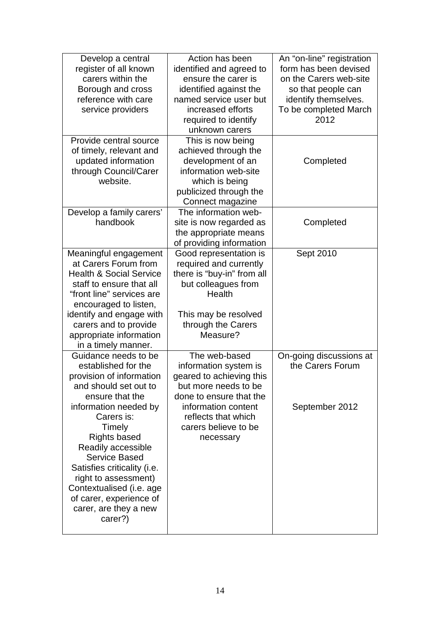| Develop a central<br>register of all known<br>carers within the<br>Borough and cross<br>reference with care<br>service providers                                                                                                                                                                                                                                                            | Action has been<br>identified and agreed to<br>ensure the carer is<br>identified against the<br>named service user but<br>increased efforts                                                              | An "on-line" registration<br>form has been devised<br>on the Carers web-site<br>so that people can<br>identify themselves.<br>To be completed March |
|---------------------------------------------------------------------------------------------------------------------------------------------------------------------------------------------------------------------------------------------------------------------------------------------------------------------------------------------------------------------------------------------|----------------------------------------------------------------------------------------------------------------------------------------------------------------------------------------------------------|-----------------------------------------------------------------------------------------------------------------------------------------------------|
|                                                                                                                                                                                                                                                                                                                                                                                             | required to identify<br>unknown carers                                                                                                                                                                   | 2012                                                                                                                                                |
| Provide central source<br>of timely, relevant and<br>updated information<br>through Council/Carer<br>website.                                                                                                                                                                                                                                                                               | This is now being<br>achieved through the<br>development of an<br>information web-site<br>which is being<br>publicized through the<br>Connect magazine                                                   | Completed                                                                                                                                           |
| Develop a family carers'<br>handbook                                                                                                                                                                                                                                                                                                                                                        | The information web-<br>site is now regarded as<br>the appropriate means<br>of providing information                                                                                                     | Completed                                                                                                                                           |
| Meaningful engagement<br>at Carers Forum from<br><b>Health &amp; Social Service</b><br>staff to ensure that all<br>"front line" services are<br>encouraged to listen,<br>identify and engage with<br>carers and to provide<br>appropriate information<br>in a timely manner.                                                                                                                | Good representation is<br>required and currently<br>there is "buy-in" from all<br>but colleagues from<br>Health<br>This may be resolved<br>through the Carers<br>Measure?                                | Sept 2010                                                                                                                                           |
| Guidance needs to be<br>established for the<br>provision of information<br>and should set out to<br>ensure that the<br>information needed by<br>Carers is:<br>Timely<br><b>Rights based</b><br>Readily accessible<br><b>Service Based</b><br>Satisfies criticality (i.e.<br>right to assessment)<br>Contextualised (i.e. age<br>of carer, experience of<br>carer, are they a new<br>carer?) | The web-based<br>information system is<br>geared to achieving this<br>but more needs to be<br>done to ensure that the<br>information content<br>reflects that which<br>carers believe to be<br>necessary | On-going discussions at<br>the Carers Forum<br>September 2012                                                                                       |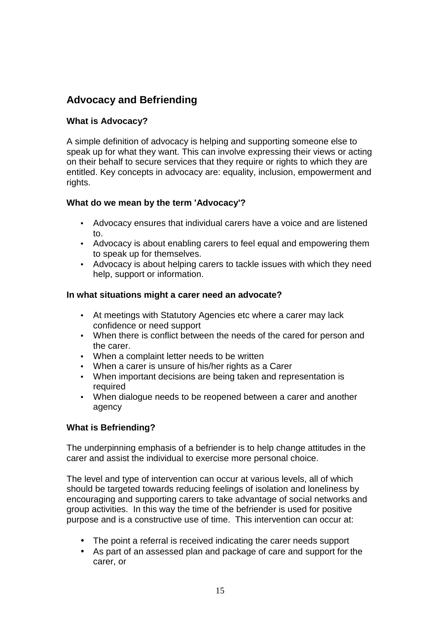# **Advocacy and Befriending**

## **What is Advocacy?**

A simple definition of advocacy is helping and supporting someone else to speak up for what they want. This can involve expressing their views or acting on their behalf to secure services that they require or rights to which they are entitled. Key concepts in advocacy are: equality, inclusion, empowerment and rights.

## **What do we mean by the term 'Advocacy'?**

- Advocacy ensures that individual carers have a voice and are listened to.
- Advocacy is about enabling carers to feel equal and empowering them to speak up for themselves.
- Advocacy is about helping carers to tackle issues with which they need help, support or information.

## **In what situations might a carer need an advocate?**

- At meetings with Statutory Agencies etc where a carer may lack confidence or need support
- When there is conflict between the needs of the cared for person and the carer.
- When a complaint letter needs to be written
- When a carer is unsure of his/her rights as a Carer
- When important decisions are being taken and representation is required
- When dialogue needs to be reopened between a carer and another agency

## **What is Befriending?**

The underpinning emphasis of a befriender is to help change attitudes in the carer and assist the individual to exercise more personal choice.

The level and type of intervention can occur at various levels, all of which should be targeted towards reducing feelings of isolation and loneliness by encouraging and supporting carers to take advantage of social networks and group activities. In this way the time of the befriender is used for positive purpose and is a constructive use of time. This intervention can occur at:

- The point a referral is received indicating the carer needs support
- As part of an assessed plan and package of care and support for the carer, or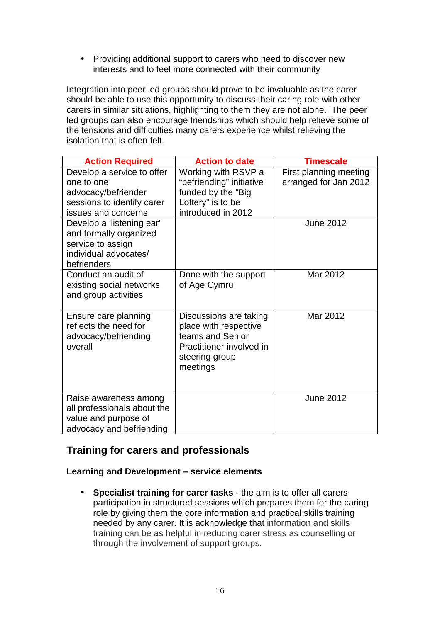• Providing additional support to carers who need to discover new interests and to feel more connected with their community

Integration into peer led groups should prove to be invaluable as the carer should be able to use this opportunity to discuss their caring role with other carers in similar situations, highlighting to them they are not alone. The peer led groups can also encourage friendships which should help relieve some of the tensions and difficulties many carers experience whilst relieving the isolation that is often felt.

| <b>Action Required</b>                                                                                   | <b>Action to date</b>                                                                                                         | <b>Timescale</b>                                |
|----------------------------------------------------------------------------------------------------------|-------------------------------------------------------------------------------------------------------------------------------|-------------------------------------------------|
| Develop a service to offer<br>one to one                                                                 | Working with RSVP a<br>"befriending" initiative                                                                               | First planning meeting<br>arranged for Jan 2012 |
| advocacy/befriender                                                                                      | funded by the "Big                                                                                                            |                                                 |
| sessions to identify carer                                                                               | Lottery" is to be                                                                                                             |                                                 |
| issues and concerns                                                                                      | introduced in 2012                                                                                                            |                                                 |
| Develop a 'listening ear'<br>and formally organized<br>service to assign                                 |                                                                                                                               | <b>June 2012</b>                                |
| individual advocates/<br>befrienders                                                                     |                                                                                                                               |                                                 |
| Conduct an audit of<br>existing social networks<br>and group activities                                  | Done with the support<br>of Age Cymru                                                                                         | Mar 2012                                        |
| Ensure care planning<br>reflects the need for<br>advocacy/befriending<br>overall                         | Discussions are taking<br>place with respective<br>teams and Senior<br>Practitioner involved in<br>steering group<br>meetings | Mar 2012                                        |
| Raise awareness among<br>all professionals about the<br>value and purpose of<br>advocacy and befriending |                                                                                                                               | <b>June 2012</b>                                |

## **Training for carers and professionals**

#### **Learning and Development – service elements**

• **Specialist training for carer tasks** - the aim is to offer all carers participation in structured sessions which prepares them for the caring role by giving them the core information and practical skills training needed by any carer. It is acknowledge that information and skills training can be as helpful in reducing carer stress as counselling or through the involvement of support groups.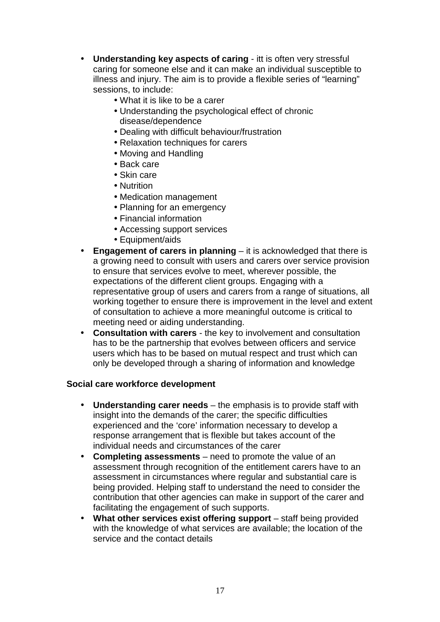- **Understanding key aspects of caring** itt is often very stressful caring for someone else and it can make an individual susceptible to illness and injury. The aim is to provide a flexible series of "learning" sessions, to include:
	- What it is like to be a carer
	- Understanding the psychological effect of chronic disease/dependence
	- Dealing with difficult behaviour/frustration
	- Relaxation techniques for carers
	- Moving and Handling
	- Back care
	- Skin care
	- Nutrition
	- Medication management
	- Planning for an emergency
	- Financial information
	- Accessing support services
	- Equipment/aids
- **Engagement of carers in planning**  it is acknowledged that there is a growing need to consult with users and carers over service provision to ensure that services evolve to meet, wherever possible, the expectations of the different client groups. Engaging with a representative group of users and carers from a range of situations, all working together to ensure there is improvement in the level and extent of consultation to achieve a more meaningful outcome is critical to meeting need or aiding understanding.
- **Consultation with carers** the key to involvement and consultation has to be the partnership that evolves between officers and service users which has to be based on mutual respect and trust which can only be developed through a sharing of information and knowledge

#### **Social care workforce development**

- **Understanding carer needs** the emphasis is to provide staff with insight into the demands of the carer; the specific difficulties experienced and the 'core' information necessary to develop a response arrangement that is flexible but takes account of the individual needs and circumstances of the carer
- **Completing assessments** need to promote the value of an assessment through recognition of the entitlement carers have to an assessment in circumstances where regular and substantial care is being provided. Helping staff to understand the need to consider the contribution that other agencies can make in support of the carer and facilitating the engagement of such supports.
- **What other services exist offering support** staff being provided with the knowledge of what services are available; the location of the service and the contact details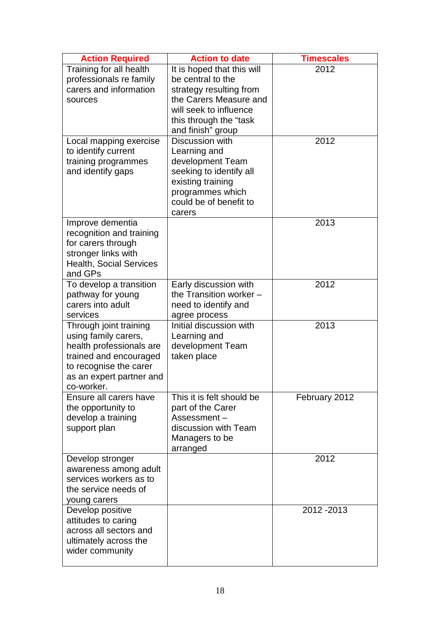| <b>Action Required</b>                                                                                                                                                   | <b>Action to date</b>                                                                                                                                                         | <b>Timescales</b> |
|--------------------------------------------------------------------------------------------------------------------------------------------------------------------------|-------------------------------------------------------------------------------------------------------------------------------------------------------------------------------|-------------------|
| Training for all health<br>professionals re family<br>carers and information<br>sources                                                                                  | It is hoped that this will<br>be central to the<br>strategy resulting from<br>the Carers Measure and<br>will seek to influence<br>this through the "task<br>and finish" group | 2012              |
| Local mapping exercise<br>to identify current<br>training programmes<br>and identify gaps                                                                                | Discussion with<br>Learning and<br>development Team<br>seeking to identify all<br>existing training<br>programmes which<br>could be of benefit to<br>carers                   | 2012              |
| Improve dementia<br>recognition and training<br>for carers through<br>stronger links with<br><b>Health, Social Services</b><br>and GPs                                   |                                                                                                                                                                               | 2013              |
| To develop a transition<br>pathway for young<br>carers into adult<br>services                                                                                            | Early discussion with<br>the Transition worker -<br>need to identify and<br>agree process                                                                                     | 2012              |
| Through joint training<br>using family carers,<br>health professionals are<br>trained and encouraged<br>to recognise the carer<br>as an expert partner and<br>co-worker. | Initial discussion with<br>Learning and<br>development Team<br>taken place                                                                                                    | 2013              |
| Ensure all carers have<br>the opportunity to<br>develop a training<br>support plan                                                                                       | This it is felt should be<br>part of the Carer<br>Assessment-<br>discussion with Team<br>Managers to be<br>arranged                                                           | February 2012     |
| Develop stronger<br>awareness among adult<br>services workers as to<br>the service needs of<br>young carers                                                              |                                                                                                                                                                               | 2012              |
| Develop positive<br>attitudes to caring<br>across all sectors and<br>ultimately across the<br>wider community                                                            |                                                                                                                                                                               | 2012 - 2013       |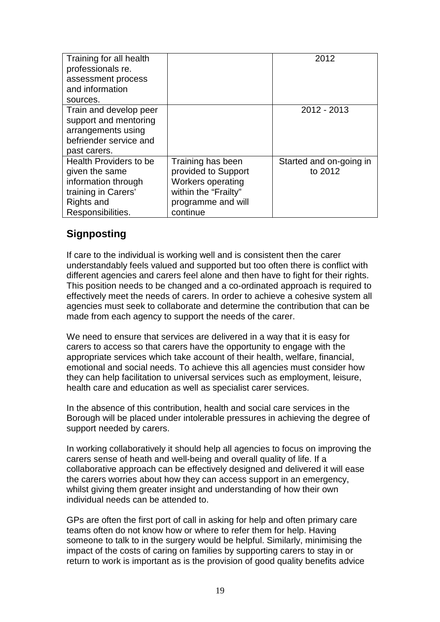| Training for all health<br>professionals re.<br>assessment process |                          | 2012                    |
|--------------------------------------------------------------------|--------------------------|-------------------------|
| and information                                                    |                          |                         |
| sources.                                                           |                          |                         |
| Train and develop peer                                             |                          | 2012 - 2013             |
| support and mentoring                                              |                          |                         |
| arrangements using                                                 |                          |                         |
| befriender service and                                             |                          |                         |
| past carers.                                                       |                          |                         |
| <b>Health Providers to be</b>                                      | Training has been        | Started and on-going in |
| given the same                                                     | provided to Support      | to 2012                 |
| information through                                                | <b>Workers operating</b> |                         |
| training in Carers'                                                | within the "Frailty"     |                         |
| Rights and                                                         | programme and will       |                         |
| Responsibilities.                                                  | continue                 |                         |

## **Signposting**

If care to the individual is working well and is consistent then the carer understandably feels valued and supported but too often there is conflict with different agencies and carers feel alone and then have to fight for their rights. This position needs to be changed and a co-ordinated approach is required to effectively meet the needs of carers. In order to achieve a cohesive system all agencies must seek to collaborate and determine the contribution that can be made from each agency to support the needs of the carer.

We need to ensure that services are delivered in a way that it is easy for carers to access so that carers have the opportunity to engage with the appropriate services which take account of their health, welfare, financial, emotional and social needs. To achieve this all agencies must consider how they can help facilitation to universal services such as employment, leisure, health care and education as well as specialist carer services.

In the absence of this contribution, health and social care services in the Borough will be placed under intolerable pressures in achieving the degree of support needed by carers.

In working collaboratively it should help all agencies to focus on improving the carers sense of heath and well-being and overall quality of life. If a collaborative approach can be effectively designed and delivered it will ease the carers worries about how they can access support in an emergency, whilst giving them greater insight and understanding of how their own individual needs can be attended to.

GPs are often the first port of call in asking for help and often primary care teams often do not know how or where to refer them for help. Having someone to talk to in the surgery would be helpful. Similarly, minimising the impact of the costs of caring on families by supporting carers to stay in or return to work is important as is the provision of good quality benefits advice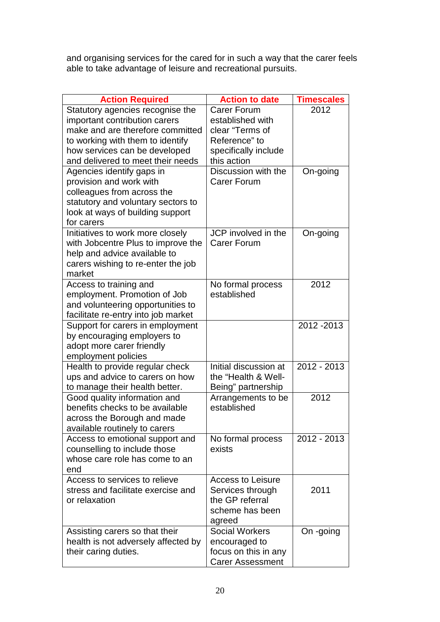and organising services for the cared for in such a way that the carer feels able to take advantage of leisure and recreational pursuits.

| <b>Action Required</b>              | <b>Action to date</b>   | <b>Timescales</b> |
|-------------------------------------|-------------------------|-------------------|
| Statutory agencies recognise the    | Carer Forum             | 2012              |
| important contribution carers       | established with        |                   |
| make and are therefore committed    | clear "Terms of         |                   |
| to working with them to identify    | Reference" to           |                   |
| how services can be developed       | specifically include    |                   |
| and delivered to meet their needs   | this action             |                   |
| Agencies identify gaps in           | Discussion with the     | On-going          |
| provision and work with             | <b>Carer Forum</b>      |                   |
| colleagues from across the          |                         |                   |
| statutory and voluntary sectors to  |                         |                   |
| look at ways of building support    |                         |                   |
| for carers                          |                         |                   |
| Initiatives to work more closely    | JCP involved in the     | On-going          |
| with Jobcentre Plus to improve the  | <b>Carer Forum</b>      |                   |
| help and advice available to        |                         |                   |
| carers wishing to re-enter the job  |                         |                   |
| market                              |                         |                   |
| Access to training and              | No formal process       | 2012              |
| employment. Promotion of Job        | established             |                   |
| and volunteering opportunities to   |                         |                   |
| facilitate re-entry into job market |                         |                   |
| Support for carers in employment    |                         | 2012 - 2013       |
| by encouraging employers to         |                         |                   |
| adopt more carer friendly           |                         |                   |
| employment policies                 |                         |                   |
| Health to provide regular check     | Initial discussion at   | 2012 - 2013       |
| ups and advice to carers on how     | the "Health & Well-     |                   |
| to manage their health better.      | Being" partnership      |                   |
| Good quality information and        | Arrangements to be      | 2012              |
| benefits checks to be available     | established             |                   |
| across the Borough and made         |                         |                   |
| available routinely to carers       |                         |                   |
| Access to emotional support and     | No formal process       | 2012 - 2013       |
| counselling to include those        | exists                  |                   |
| whose care role has come to an      |                         |                   |
| end                                 |                         |                   |
| Access to services to relieve       | Access to Leisure       |                   |
| stress and facilitate exercise and  | Services through        | 2011              |
| or relaxation                       | the GP referral         |                   |
|                                     | scheme has been         |                   |
|                                     | agreed                  |                   |
| Assisting carers so that their      | <b>Social Workers</b>   | On -going         |
| health is not adversely affected by | encouraged to           |                   |
| their caring duties.                | focus on this in any    |                   |
|                                     | <b>Carer Assessment</b> |                   |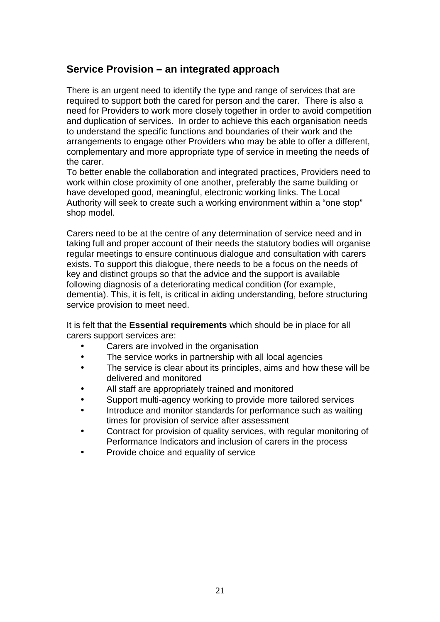## **Service Provision – an integrated approach**

There is an urgent need to identify the type and range of services that are required to support both the cared for person and the carer. There is also a need for Providers to work more closely together in order to avoid competition and duplication of services. In order to achieve this each organisation needs to understand the specific functions and boundaries of their work and the arrangements to engage other Providers who may be able to offer a different, complementary and more appropriate type of service in meeting the needs of the carer.

To better enable the collaboration and integrated practices, Providers need to work within close proximity of one another, preferably the same building or have developed good, meaningful, electronic working links. The Local Authority will seek to create such a working environment within a "one stop" shop model.

Carers need to be at the centre of any determination of service need and in taking full and proper account of their needs the statutory bodies will organise regular meetings to ensure continuous dialogue and consultation with carers exists. To support this dialogue, there needs to be a focus on the needs of key and distinct groups so that the advice and the support is available following diagnosis of a deteriorating medical condition (for example, dementia). This, it is felt, is critical in aiding understanding, before structuring service provision to meet need.

It is felt that the **Essential requirements** which should be in place for all carers support services are:

- Carers are involved in the organisation
- The service works in partnership with all local agencies
- The service is clear about its principles, aims and how these will be delivered and monitored
- All staff are appropriately trained and monitored
- Support multi-agency working to provide more tailored services
- Introduce and monitor standards for performance such as waiting times for provision of service after assessment
- Contract for provision of quality services, with regular monitoring of Performance Indicators and inclusion of carers in the process
- Provide choice and equality of service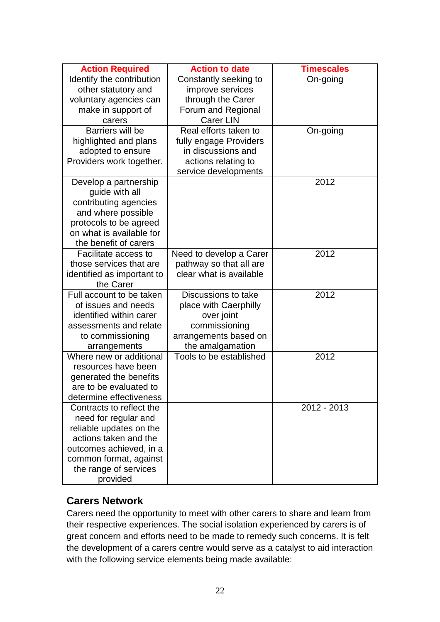| <b>Action Required</b>                | <b>Action to date</b>       | <b>Timescales</b> |
|---------------------------------------|-----------------------------|-------------------|
| Identify the contribution             | Constantly seeking to       | On-going          |
| other statutory and                   | improve services            |                   |
| voluntary agencies can                | through the Carer           |                   |
| make in support of                    | Forum and Regional          |                   |
| carers                                | <b>Carer LIN</b>            |                   |
| Barriers will be                      | Real efforts taken to       | On-going          |
| highlighted and plans                 | fully engage Providers      |                   |
| adopted to ensure                     | in discussions and          |                   |
| Providers work together.              | actions relating to         |                   |
|                                       | service developments        |                   |
| Develop a partnership                 |                             | 2012              |
| guide with all                        |                             |                   |
| contributing agencies                 |                             |                   |
| and where possible                    |                             |                   |
| protocols to be agreed                |                             |                   |
| on what is available for              |                             |                   |
| the benefit of carers                 |                             |                   |
| Facilitate access to                  | Need to develop a Carer     | 2012              |
| those services that are               | pathway so that all are     |                   |
| identified as important to            | clear what is available     |                   |
| the Carer<br>Full account to be taken | Discussions to take         | 2012              |
| of issues and needs                   |                             |                   |
| identified within carer               | place with Caerphilly       |                   |
| assessments and relate                | over joint<br>commissioning |                   |
| to commissioning                      | arrangements based on       |                   |
| arrangements                          | the amalgamation            |                   |
| Where new or additional               | Tools to be established     | 2012              |
| resources have been                   |                             |                   |
| generated the benefits                |                             |                   |
| are to be evaluated to                |                             |                   |
| determine effectiveness               |                             |                   |
| Contracts to reflect the              |                             | 2012 - 2013       |
| need for regular and                  |                             |                   |
| reliable updates on the               |                             |                   |
| actions taken and the                 |                             |                   |
| outcomes achieved, in a               |                             |                   |
| common format, against                |                             |                   |
| the range of services                 |                             |                   |
| provided                              |                             |                   |

## **Carers Network**

Carers need the opportunity to meet with other carers to share and learn from their respective experiences. The social isolation experienced by carers is of great concern and efforts need to be made to remedy such concerns. It is felt the development of a carers centre would serve as a catalyst to aid interaction with the following service elements being made available: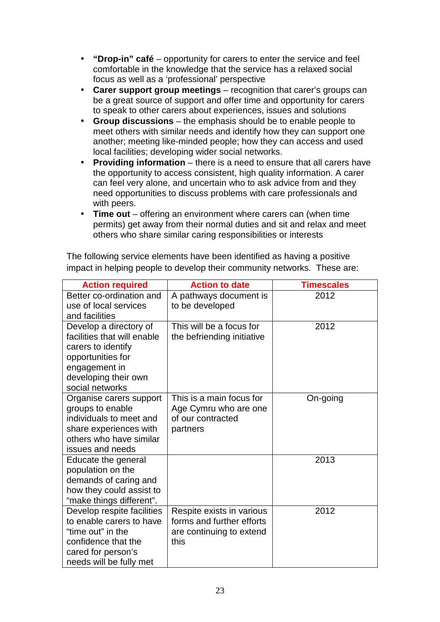- **"Drop-in" café** opportunity for carers to enter the service and feel comfortable in the knowledge that the service has a relaxed social focus as well as a 'professional' perspective
- **Carer support group meetings** recognition that carer's groups can be a great source of support and offer time and opportunity for carers to speak to other carers about experiences, issues and solutions
- **Group discussions** the emphasis should be to enable people to meet others with similar needs and identify how they can support one another; meeting like-minded people; how they can access and used local facilities; developing wider social networks.
- **Providing information** there is a need to ensure that all carers have the opportunity to access consistent, high quality information. A carer can feel very alone, and uncertain who to ask advice from and they need opportunities to discuss problems with care professionals and with peers.
- **Time out** offering an environment where carers can (when time permits) get away from their normal duties and sit and relax and meet others who share similar caring responsibilities or interests

| impact in helping people to develop their community networks. These are: |
|--------------------------------------------------------------------------|
| The following service elements have been identified as having a positive |

| <b>Action required</b>                               | <b>Action to date</b>      | <b>Timescales</b> |
|------------------------------------------------------|----------------------------|-------------------|
| Better co-ordination and                             | A pathways document is     | 2012              |
| use of local services                                | to be developed            |                   |
| and facilities                                       |                            |                   |
| Develop a directory of                               | This will be a focus for   | 2012              |
| facilities that will enable                          | the befriending initiative |                   |
| carers to identify                                   |                            |                   |
| opportunities for                                    |                            |                   |
| engagement in                                        |                            |                   |
| developing their own                                 |                            |                   |
| social networks                                      |                            |                   |
| Organise carers support                              | This is a main focus for   | On-going          |
| groups to enable                                     | Age Cymru who are one      |                   |
| individuals to meet and                              | of our contracted          |                   |
| share experiences with                               | partners                   |                   |
| others who have similar                              |                            |                   |
| issues and needs                                     |                            | 2013              |
| Educate the general                                  |                            |                   |
| population on the                                    |                            |                   |
| demands of caring and                                |                            |                   |
| how they could assist to<br>"make things different". |                            |                   |
| Develop respite facilities                           | Respite exists in various  | 2012              |
| to enable carers to have                             | forms and further efforts  |                   |
| "time out" in the                                    | are continuing to extend   |                   |
| confidence that the                                  | this                       |                   |
| cared for person's                                   |                            |                   |
|                                                      |                            |                   |
| needs will be fully met                              |                            |                   |